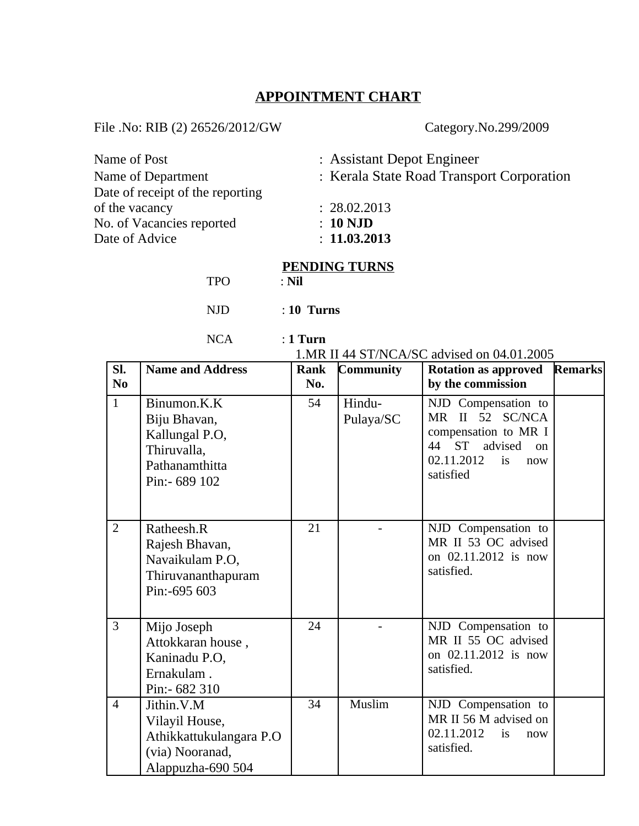## **APPOINTMENT CHART**

File .No: RIB (2) 26526/2012/GW Category.No.299/2009

| Name of Post                     | : Assistant Depot Engineer                |  |  |
|----------------------------------|-------------------------------------------|--|--|
| Name of Department               | : Kerala State Road Transport Corporation |  |  |
| Date of receipt of the reporting |                                           |  |  |
| of the vacancy                   | : 28.02.2013                              |  |  |
| No. of Vacancies reported        | $: 10$ NJD                                |  |  |
| Date of Advice                   | : 11.03.2013                              |  |  |
|                                  |                                           |  |  |

## **PENDING TURNS**

NJD : **10 Turns**

NCA : **1 Turn**

TPO : **Nil**

1.MR II 44 ST/NCA/SC advised on 04.01.2005

| SI.<br>N <sub>0</sub> | <b>Name and Address</b>                                                                         | Rank<br>No. | <b>Community</b>    | <b>Rotation as approved</b><br>by the commission                                                                                    | Remarks |
|-----------------------|-------------------------------------------------------------------------------------------------|-------------|---------------------|-------------------------------------------------------------------------------------------------------------------------------------|---------|
| $\mathbf{1}$          | Binumon.K.K<br>Biju Bhavan,<br>Kallungal P.O,<br>Thiruvalla,<br>Pathanamthitta<br>Pin:- 689 102 | 54          | Hindu-<br>Pulaya/SC | NJD Compensation to<br>MR II<br>52<br>SC/NCA<br>compensation to MR I<br>44 ST advised<br>on<br>02.11.2012<br>is<br>now<br>satisfied |         |
| $\overline{2}$        | Ratheesh.R<br>Rajesh Bhavan,<br>Navaikulam P.O,<br>Thiruvananthapuram<br>Pin:-695 603           | 21          |                     | NJD Compensation to<br>MR II 53 OC advised<br>on 02.11.2012 is now<br>satisfied.                                                    |         |
| 3                     | Mijo Joseph<br>Attokkaran house,<br>Kaninadu P.O,<br>Ernakulam.<br>Pin: - 682 310               | 24          |                     | NJD Compensation to<br>MR II 55 OC advised<br>on 02.11.2012 is now<br>satisfied.                                                    |         |
| $\overline{4}$        | Jithin.V.M<br>Vilayil House,<br>Athikkattukulangara P.O<br>(via) Nooranad,<br>Alappuzha-690 504 | 34          | Muslim              | NJD Compensation to<br>MR II 56 M advised on<br>02.11.2012<br>is<br>now<br>satisfied.                                               |         |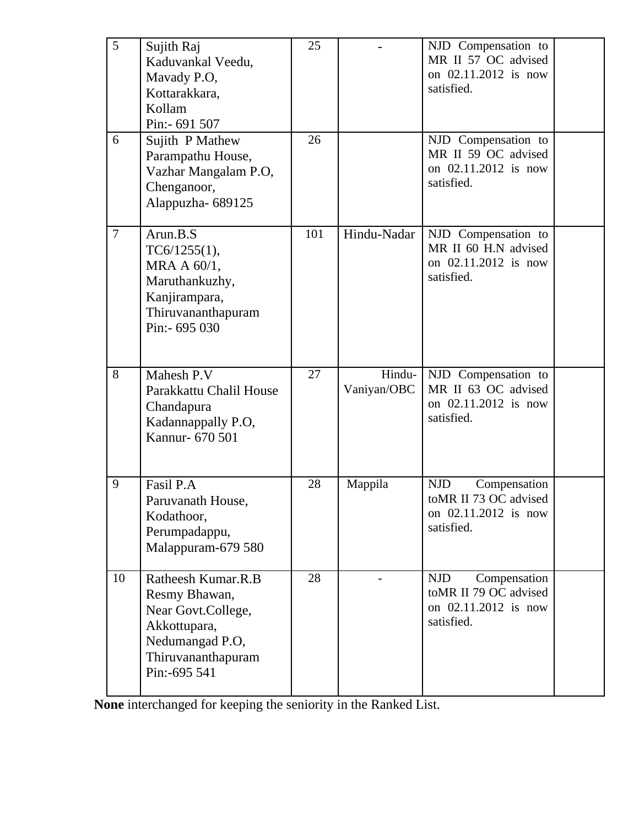| 5              | Sujith Raj<br>Kaduvankal Veedu,<br>Mavady P.O,<br>Kottarakkara,<br>Kollam<br>Pin:- 691 507                                          | 25  |                       | NJD Compensation to<br>MR II 57 OC advised<br>on 02.11.2012 is now<br>satisfied.          |  |
|----------------|-------------------------------------------------------------------------------------------------------------------------------------|-----|-----------------------|-------------------------------------------------------------------------------------------|--|
| 6              | Sujith P Mathew<br>Parampathu House,<br>Vazhar Mangalam P.O,<br>Chenganoor,<br>Alappuzha-689125                                     | 26  |                       | NJD Compensation to<br>MR II 59 OC advised<br>on 02.11.2012 is now<br>satisfied.          |  |
| $\overline{7}$ | Arun.B.S<br>TC6/1255(1),<br>MRA A 60/1,<br>Maruthankuzhy,<br>Kanjirampara,<br>Thiruvananthapuram<br>Pin: - 695 030                  | 101 | Hindu-Nadar           | NJD Compensation to<br>MR II 60 H.N advised<br>on 02.11.2012 is now<br>satisfied.         |  |
| 8              | Mahesh P.V<br>Parakkattu Chalil House<br>Chandapura<br>Kadannappally P.O,<br>Kannur- 670 501                                        | 27  | Hindu-<br>Vaniyan/OBC | NJD Compensation to<br>MR II 63 OC advised<br>on 02.11.2012 is now<br>satisfied.          |  |
| 9              | Fasil P.A<br>Paruvanath House,<br>Kodathoor,<br>Perumpadappu,<br>Malappuram-679 580                                                 | 28  | Mappila               | <b>NJD</b><br>Compensation<br>toMR II 73 OC advised<br>on 02.11.2012 is now<br>satisfied. |  |
| 10             | Ratheesh Kumar, R.B<br>Resmy Bhawan,<br>Near Govt.College,<br>Akkottupara,<br>Nedumangad P.O,<br>Thiruvananthapuram<br>Pin:-695 541 | 28  |                       | <b>NJD</b><br>Compensation<br>toMR II 79 OC advised<br>on 02.11.2012 is now<br>satisfied. |  |

**None** interchanged for keeping the seniority in the Ranked List.